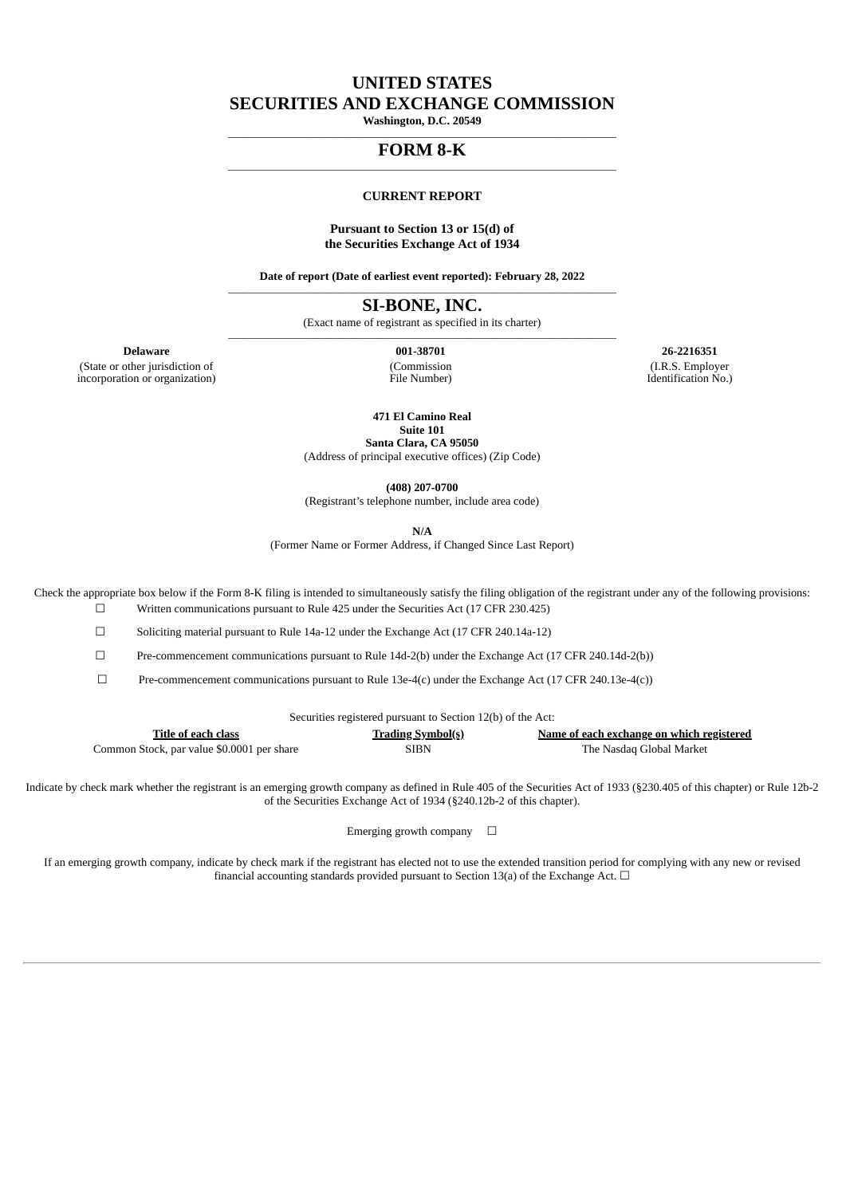## **UNITED STATES**

**SECURITIES AND EXCHANGE COMMISSION**

**Washington, D.C. 20549** \_\_\_\_\_\_\_\_\_\_\_\_\_\_\_\_\_\_\_\_\_\_\_\_\_\_\_\_\_\_\_\_\_\_\_\_\_\_\_\_\_\_\_\_\_\_\_\_\_\_\_\_\_\_\_\_\_\_\_\_\_\_\_\_\_\_\_\_\_\_\_\_\_\_\_\_

#### **FORM 8-K**  $\_$  ,  $\_$  ,  $\_$  ,  $\_$  ,  $\_$  ,  $\_$  ,  $\_$  ,  $\_$  ,  $\_$  ,  $\_$  ,  $\_$  ,  $\_$  ,  $\_$  ,  $\_$  ,  $\_$  ,  $\_$  ,  $\_$  ,  $\_$

#### **CURRENT REPORT**

#### **Pursuant to Section 13 or 15(d) of the Securities Exchange Act of 1934**

**Date of report (Date of earliest event reported): February 28, 2022**  $\_$  ,  $\_$  ,  $\_$  ,  $\_$  ,  $\_$  ,  $\_$  ,  $\_$  ,  $\_$  ,  $\_$  ,  $\_$  ,  $\_$  ,  $\_$  ,  $\_$  ,  $\_$  ,  $\_$  ,  $\_$  ,  $\_$  ,  $\_$ 

**SI-BONE, INC.**

(Exact name of registrant as specified in its charter)  $\_$  ,  $\_$  ,  $\_$  ,  $\_$  ,  $\_$  ,  $\_$  ,  $\_$  ,  $\_$  ,  $\_$  ,  $\_$  ,  $\_$  ,  $\_$  ,  $\_$  ,  $\_$  ,  $\_$  ,  $\_$  ,  $\_$  ,  $\_$ 

(State or other jurisdiction of incorporation or organization) (Commission File Number)

**Delaware 001-38701 26-2216351** (I.R.S. Employer Identification No.)

**471 El Camino Real**

**Suite 101 Santa Clara, CA 95050**

(Address of principal executive offices) (Zip Code)

**(408) 207-0700**

(Registrant's telephone number, include area code)

**N/A**

(Former Name or Former Address, if Changed Since Last Report)

Check the appropriate box below if the Form 8-K filing is intended to simultaneously satisfy the filing obligation of the registrant under any of the following provisions:

☐ Written communications pursuant to Rule 425 under the Securities Act (17 CFR 230.425)

☐ Soliciting material pursuant to Rule 14a-12 under the Exchange Act (17 CFR 240.14a-12)

☐ Pre-commencement communications pursuant to Rule 14d-2(b) under the Exchange Act (17 CFR 240.14d-2(b))

 $\Box$  Pre-commencement communications pursuant to Rule 13e-4(c) under the Exchange Act (17 CFR 240.13e-4(c))

| Securities registered pursuant to Section 12(b) of the Act: |  |  |
|-------------------------------------------------------------|--|--|
|-------------------------------------------------------------|--|--|

| Title of each class                        | <b>Trading Symbol(s)</b> | Name of each exchange on which registered |
|--------------------------------------------|--------------------------|-------------------------------------------|
| Common Stock, par value \$0.0001 per share | SIBN                     | The Nasdag Global Market                  |

Indicate by check mark whether the registrant is an emerging growth company as defined in Rule 405 of the Securities Act of 1933 (§230.405 of this chapter) or Rule 12b-2 of the Securities Exchange Act of 1934 (§240.12b-2 of this chapter).

Emerging growth company  $\Box$ 

If an emerging growth company, indicate by check mark if the registrant has elected not to use the extended transition period for complying with any new or revised financial accounting standards provided pursuant to Section 13(a) of the Exchange Act.  $\Box$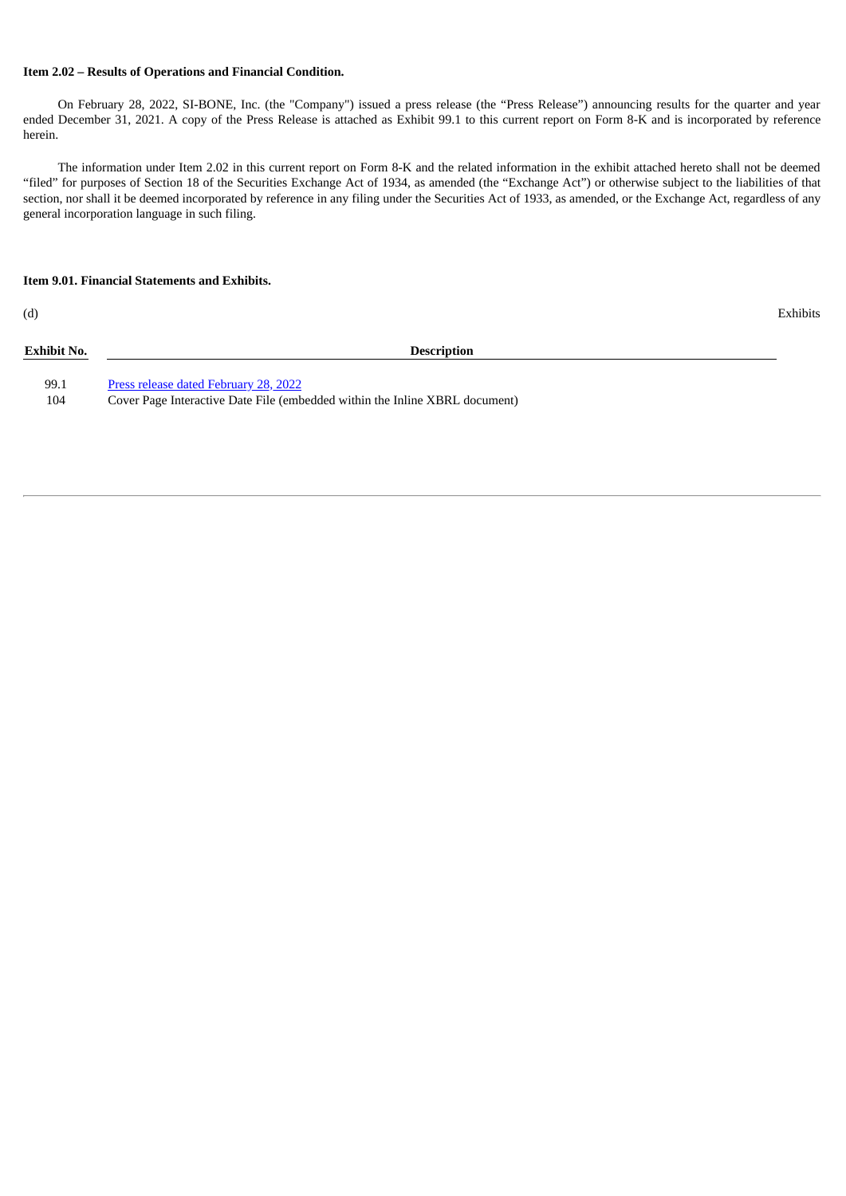#### **Item 2.02 – Results of Operations and Financial Condition.**

On February 28, 2022, SI-BONE, Inc. (the "Company") issued a press release (the "Press Release") announcing results for the quarter and year ended December 31, 2021. A copy of the Press Release is attached as Exhibit 99.1 to this current report on Form 8-K and is incorporated by reference herein.

The information under Item 2.02 in this current report on Form 8-K and the related information in the exhibit attached hereto shall not be deemed "filed" for purposes of Section 18 of the Securities Exchange Act of 1934, as amended (the "Exchange Act") or otherwise subject to the liabilities of that section, nor shall it be deemed incorporated by reference in any filing under the Securities Act of 1933, as amended, or the Exchange Act, regardless of any general incorporation language in such filing.

#### **Item 9.01. Financial Statements and Exhibits.**

(d) Exhibits

| <b>Exhibit No.</b> | <b>Description</b>                                                          |
|--------------------|-----------------------------------------------------------------------------|
| 99.1               | Press release dated February 28, 2022                                       |
| 104                | Cover Page Interactive Date File (embedded within the Inline XBRL document) |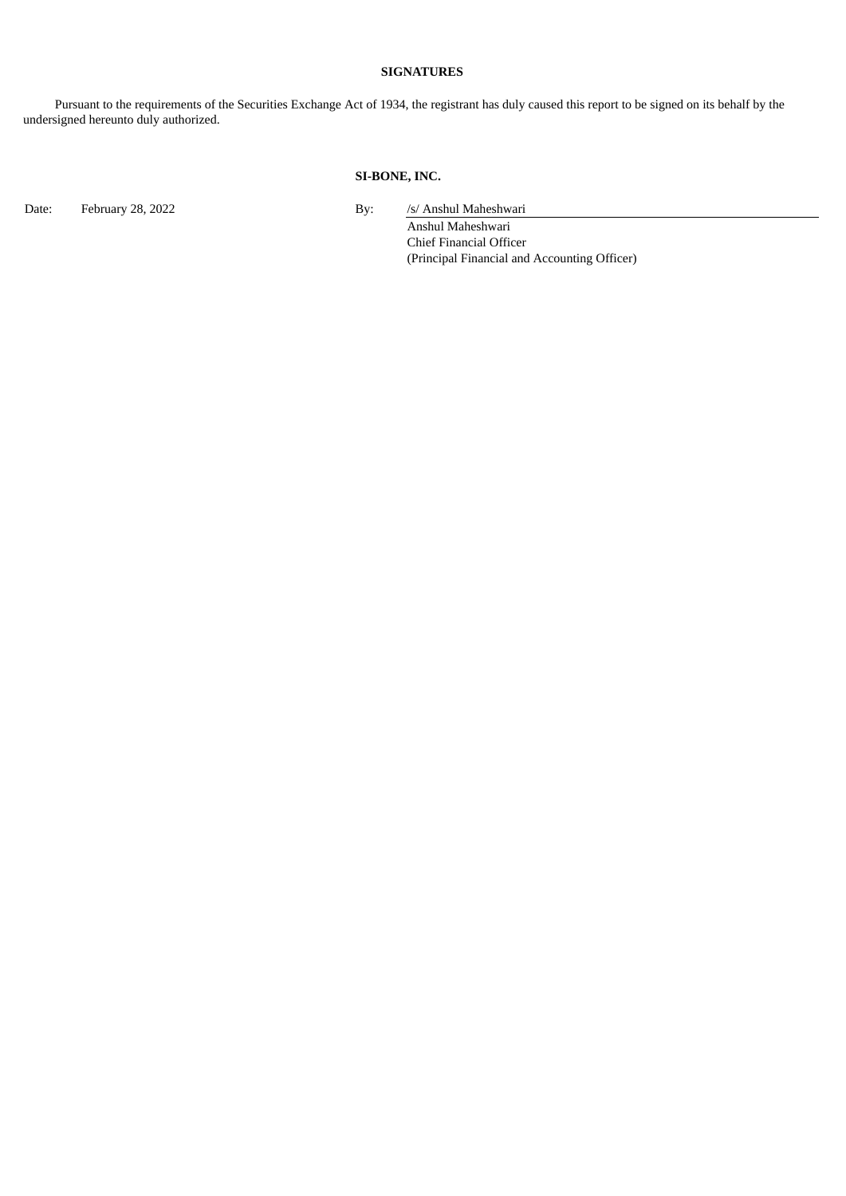### **SIGNATURES**

Pursuant to the requirements of the Securities Exchange Act of 1934, the registrant has duly caused this report to be signed on its behalf by the undersigned hereunto duly authorized.

#### **SI-BONE, INC.**

Date: February 28, 2022 **By:** /s/ Anshul Maheshwari

Anshul Maheshwari Chief Financial Officer

(Principal Financial and Accounting Officer)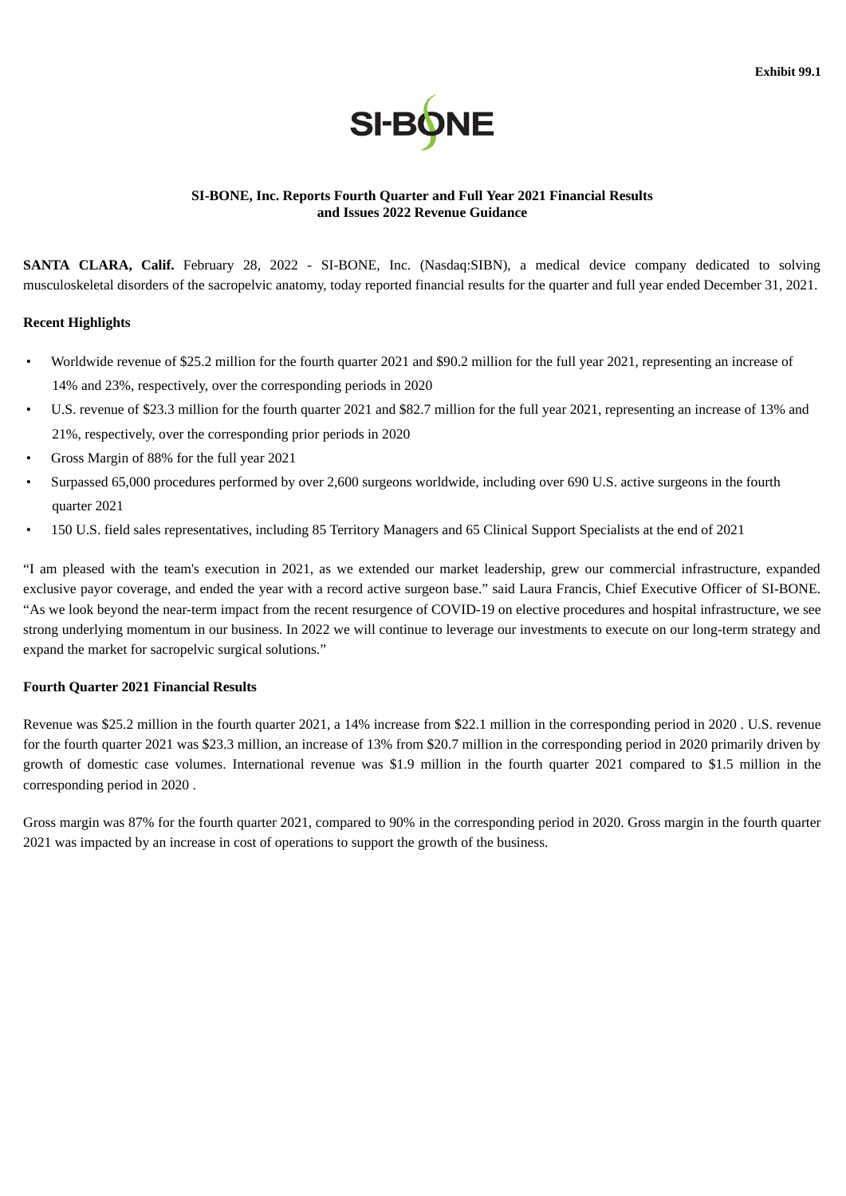

### <span id="page-3-0"></span>**SI-BONE, Inc. Reports Fourth Quarter and Full Year 2021 Financial Results and Issues 2022 Revenue Guidance**

**SANTA CLARA, Calif.** February 28, 2022 - SI-BONE, Inc. (Nasdaq:SIBN), a medical device company dedicated to solving musculoskeletal disorders of the sacropelvic anatomy, today reported financial results for the quarter and full year ended December 31, 2021.

#### **Recent Highlights**

- Worldwide revenue of \$25.2 million for the fourth quarter 2021 and \$90.2 million for the full year 2021, representing an increase of 14% and 23%, respectively, over the corresponding periods in 2020
- U.S. revenue of \$23.3 million for the fourth quarter 2021 and \$82.7 million for the full year 2021, representing an increase of 13% and 21%, respectively, over the corresponding prior periods in 2020
- Gross Margin of 88% for the full year 2021
- Surpassed 65,000 procedures performed by over 2,600 surgeons worldwide, including over 690 U.S. active surgeons in the fourth quarter 2021
- 150 U.S. field sales representatives, including 85 Territory Managers and 65 Clinical Support Specialists at the end of 2021

"I am pleased with the team's execution in 2021, as we extended our market leadership, grew our commercial infrastructure, expanded exclusive payor coverage, and ended the year with a record active surgeon base." said Laura Francis, Chief Executive Officer of SI-BONE. "As we look beyond the near-term impact from the recent resurgence of COVID-19 on elective procedures and hospital infrastructure, we see strong underlying momentum in our business. In 2022 we will continue to leverage our investments to execute on our long-term strategy and expand the market for sacropelvic surgical solutions."

### **Fourth Quarter 2021 Financial Results**

Revenue was \$25.2 million in the fourth quarter 2021, a 14% increase from \$22.1 million in the corresponding period in 2020 . U.S. revenue for the fourth quarter 2021 was \$23.3 million, an increase of 13% from \$20.7 million in the corresponding period in 2020 primarily driven by growth of domestic case volumes. International revenue was \$1.9 million in the fourth quarter 2021 compared to \$1.5 million in the corresponding period in 2020 .

Gross margin was 87% for the fourth quarter 2021, compared to 90% in the corresponding period in 2020. Gross margin in the fourth quarter 2021 was impacted by an increase in cost of operations to support the growth of the business.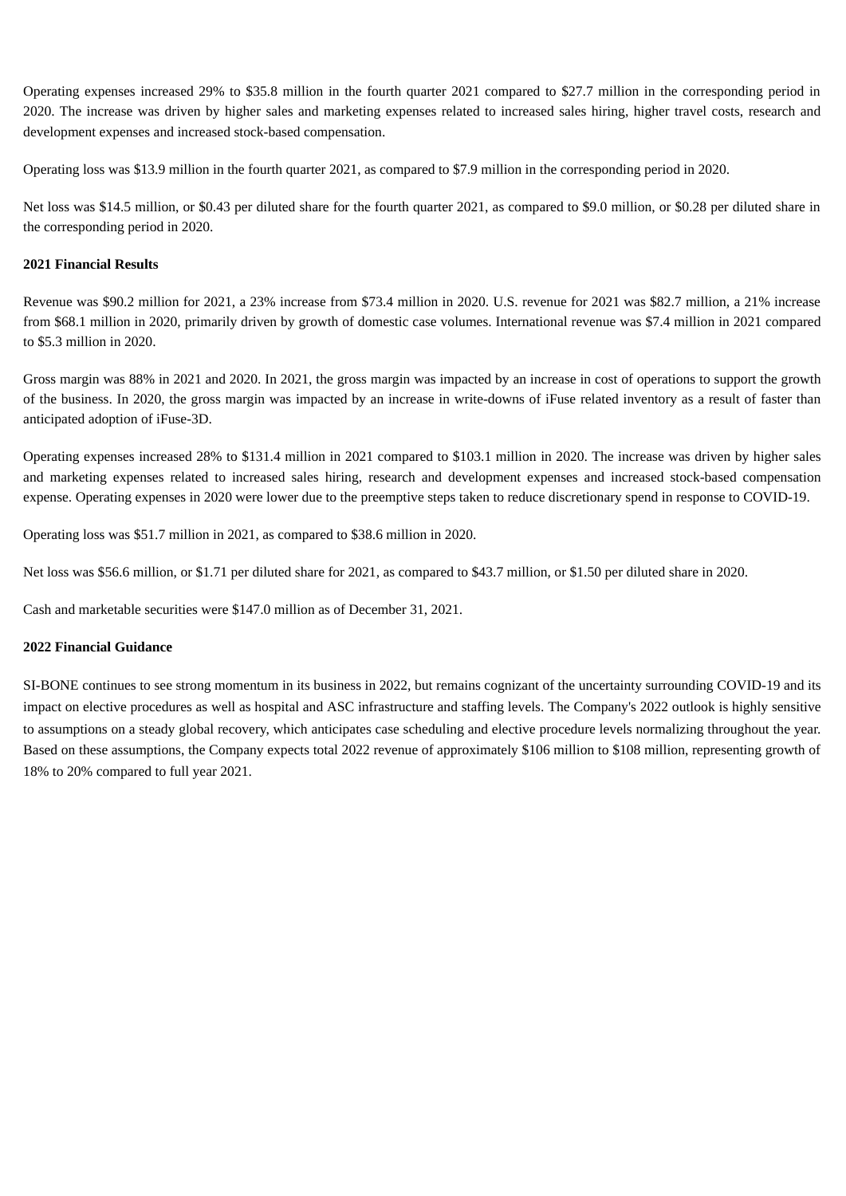Operating expenses increased 29% to \$35.8 million in the fourth quarter 2021 compared to \$27.7 million in the corresponding period in 2020. The increase was driven by higher sales and marketing expenses related to increased sales hiring, higher travel costs, research and development expenses and increased stock-based compensation.

Operating loss was \$13.9 million in the fourth quarter 2021, as compared to \$7.9 million in the corresponding period in 2020.

Net loss was \$14.5 million, or \$0.43 per diluted share for the fourth quarter 2021, as compared to \$9.0 million, or \$0.28 per diluted share in the corresponding period in 2020.

### **2021 Financial Results**

Revenue was \$90.2 million for 2021, a 23% increase from \$73.4 million in 2020. U.S. revenue for 2021 was \$82.7 million, a 21% increase from \$68.1 million in 2020, primarily driven by growth of domestic case volumes. International revenue was \$7.4 million in 2021 compared to \$5.3 million in 2020.

Gross margin was 88% in 2021 and 2020. In 2021, the gross margin was impacted by an increase in cost of operations to support the growth of the business. In 2020, the gross margin was impacted by an increase in write-downs of iFuse related inventory as a result of faster than anticipated adoption of iFuse-3D.

Operating expenses increased 28% to \$131.4 million in 2021 compared to \$103.1 million in 2020. The increase was driven by higher sales and marketing expenses related to increased sales hiring, research and development expenses and increased stock-based compensation expense. Operating expenses in 2020 were lower due to the preemptive steps taken to reduce discretionary spend in response to COVID-19.

Operating loss was \$51.7 million in 2021, as compared to \$38.6 million in 2020.

Net loss was \$56.6 million, or \$1.71 per diluted share for 2021, as compared to \$43.7 million, or \$1.50 per diluted share in 2020.

Cash and marketable securities were \$147.0 million as of December 31, 2021.

## **2022 Financial Guidance**

SI-BONE continues to see strong momentum in its business in 2022, but remains cognizant of the uncertainty surrounding COVID-19 and its impact on elective procedures as well as hospital and ASC infrastructure and staffing levels. The Company's 2022 outlook is highly sensitive to assumptions on a steady global recovery, which anticipates case scheduling and elective procedure levels normalizing throughout the year. Based on these assumptions, the Company expects total 2022 revenue of approximately \$106 million to \$108 million, representing growth of 18% to 20% compared to full year 2021.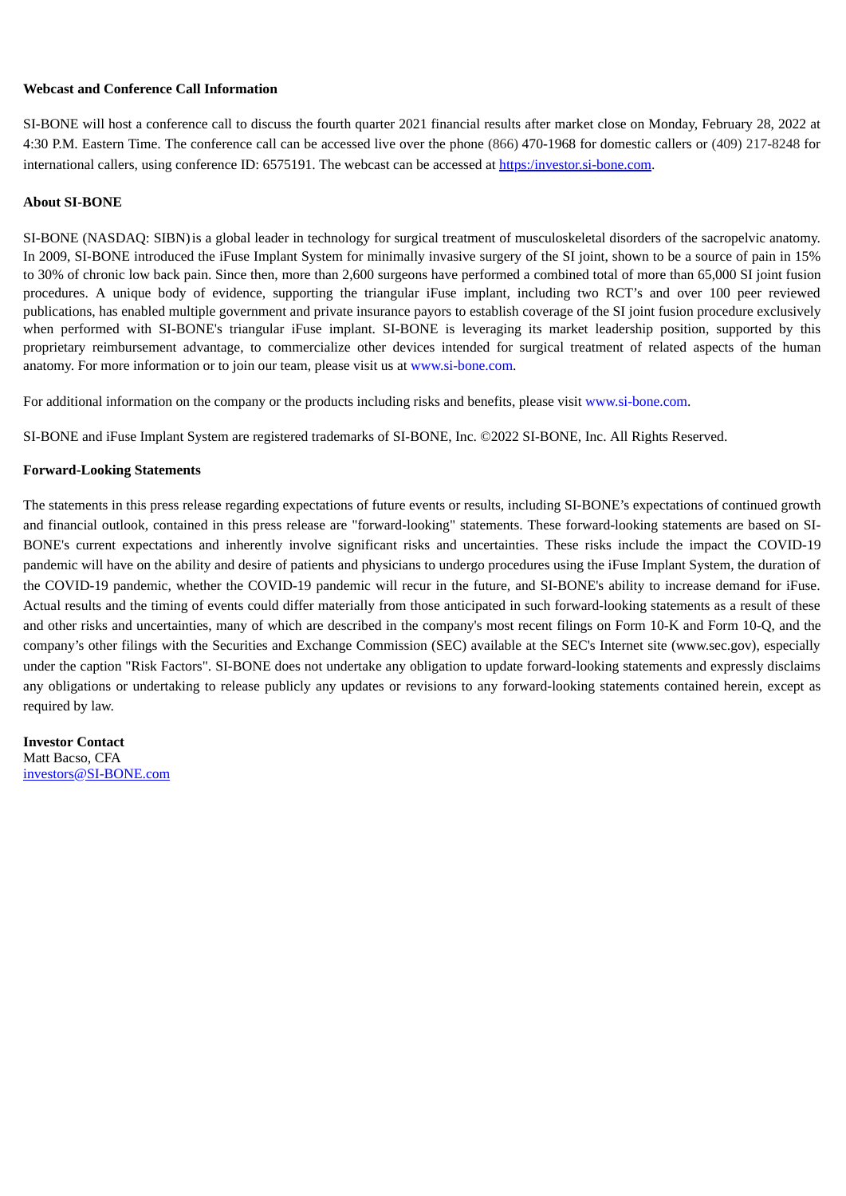### **Webcast and Conference Call Information**

SI-BONE will host a conference call to discuss the fourth quarter 2021 financial results after market close on Monday, February 28, 2022 at 4:30 P.M. Eastern Time. The conference call can be accessed live over the phone (866) 470-1968 for domestic callers or (409) 217-8248 for international callers, using conference ID: 6575191. The webcast can be accessed at https:/investor.si-bone.com.

### **About SI-BONE**

SI-BONE (NASDAQ: SIBN)is a global leader in technology for surgical treatment of musculoskeletal disorders of the sacropelvic anatomy. In 2009, SI-BONE introduced the iFuse Implant System for minimally invasive surgery of the SI joint, shown to be a source of pain in 15% to 30% of chronic low back pain. Since then, more than 2,600 surgeons have performed a combined total of more than 65,000 SI joint fusion procedures. A unique body of evidence, supporting the triangular iFuse implant, including two RCT's and over 100 peer reviewed publications, has enabled multiple government and private insurance payors to establish coverage of the SI joint fusion procedure exclusively when performed with SI-BONE's triangular iFuse implant. SI-BONE is leveraging its market leadership position, supported by this proprietary reimbursement advantage, to commercialize other devices intended for surgical treatment of related aspects of the human anatomy. For more information or to join our team, please visit us at www.si-bone.com.

For additional information on the company or the products including risks and benefits, please visit www.si-bone.com.

SI-BONE and iFuse Implant System are registered trademarks of SI-BONE, Inc. ©2022 SI-BONE, Inc. All Rights Reserved.

#### **Forward-Looking Statements**

The statements in this press release regarding expectations of future events or results, including SI-BONE's expectations of continued growth and financial outlook, contained in this press release are "forward-looking" statements. These forward-looking statements are based on SI-BONE's current expectations and inherently involve significant risks and uncertainties. These risks include the impact the COVID-19 pandemic will have on the ability and desire of patients and physicians to undergo procedures using the iFuse Implant System, the duration of the COVID-19 pandemic, whether the COVID-19 pandemic will recur in the future, and SI-BONE's ability to increase demand for iFuse. Actual results and the timing of events could differ materially from those anticipated in such forward-looking statements as a result of these and other risks and uncertainties, many of which are described in the company's most recent filings on Form 10-K and Form 10-Q, and the company's other filings with the Securities and Exchange Commission (SEC) available at the SEC's Internet site (www.sec.gov), especially under the caption "Risk Factors". SI-BONE does not undertake any obligation to update forward-looking statements and expressly disclaims any obligations or undertaking to release publicly any updates or revisions to any forward-looking statements contained herein, except as required by law.

**Investor Contact** Matt Bacso, CFA investors@SI-BONE.com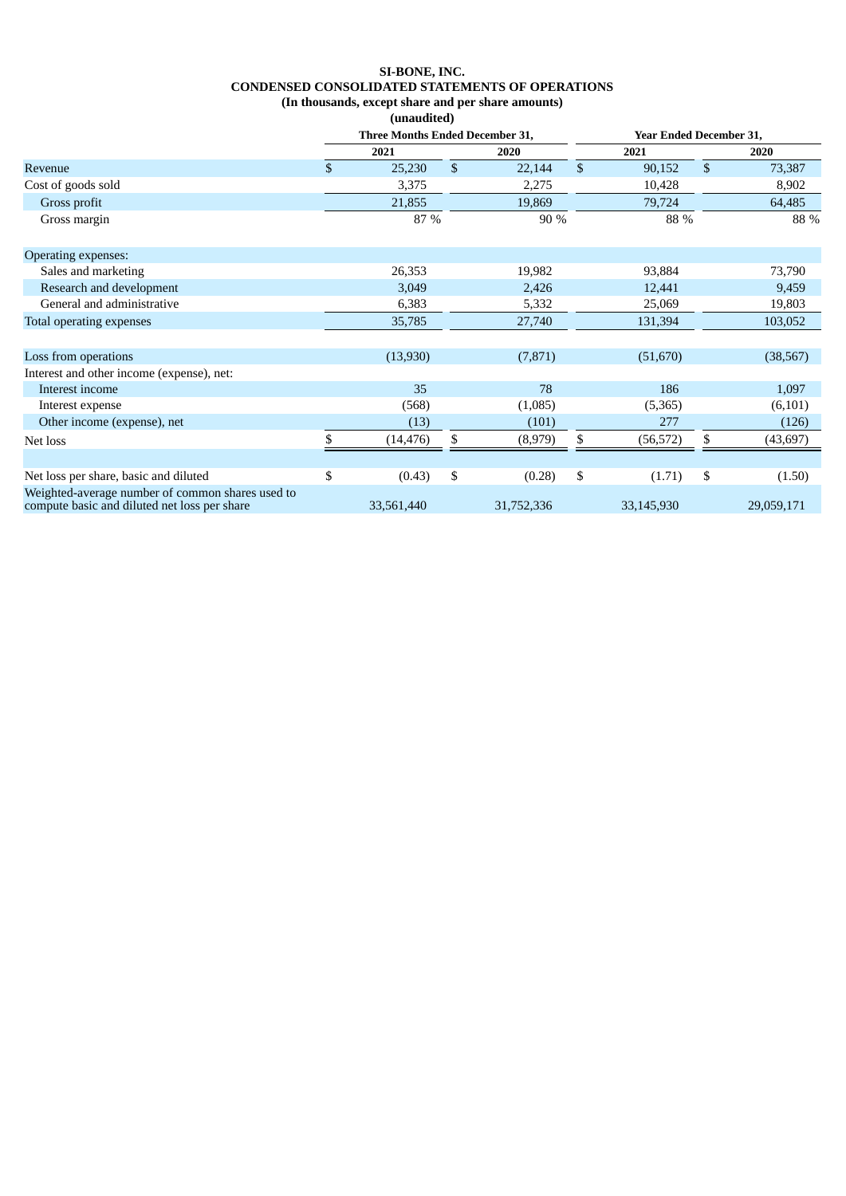# **SI-BONE, INC. CONDENSED CONSOLIDATED STATEMENTS OF OPERATIONS (In thousands, except share and per share amounts)**

**(unaudited)**

|                                                                                                  | Three Months Ended December 31, |            | <b>Year Ended December 31,</b> |            |              |            |              |            |
|--------------------------------------------------------------------------------------------------|---------------------------------|------------|--------------------------------|------------|--------------|------------|--------------|------------|
|                                                                                                  |                                 | 2021       |                                | 2020       |              | 2021       |              | 2020       |
| Revenue                                                                                          | \$                              | 25,230     | $\mathbb{S}$                   | 22,144     | $\mathbb{S}$ | 90,152     | $\mathbb{S}$ | 73,387     |
| Cost of goods sold                                                                               |                                 | 3,375      |                                | 2,275      |              | 10,428     |              | 8,902      |
| Gross profit                                                                                     |                                 | 21,855     |                                | 19,869     |              | 79,724     |              | 64,485     |
| Gross margin                                                                                     |                                 | 87 %       |                                | 90 %       |              | 88 %       |              | 88 %       |
| <b>Operating expenses:</b>                                                                       |                                 |            |                                |            |              |            |              |            |
| Sales and marketing                                                                              |                                 | 26,353     |                                | 19,982     |              | 93,884     |              | 73,790     |
| Research and development                                                                         |                                 | 3,049      |                                | 2,426      |              | 12,441     |              | 9,459      |
| General and administrative                                                                       |                                 | 6,383      |                                | 5,332      |              | 25,069     |              | 19,803     |
| Total operating expenses                                                                         |                                 | 35,785     |                                | 27,740     |              | 131,394    |              | 103,052    |
| Loss from operations                                                                             |                                 | (13,930)   |                                | (7, 871)   |              | (51,670)   |              | (38, 567)  |
| Interest and other income (expense), net:                                                        |                                 |            |                                |            |              |            |              |            |
| Interest income                                                                                  |                                 | 35         |                                | 78         |              | 186        |              | 1,097      |
| Interest expense                                                                                 |                                 | (568)      |                                | (1,085)    |              | (5,365)    |              | (6,101)    |
| Other income (expense), net                                                                      |                                 | (13)       |                                | (101)      |              | 277        |              | (126)      |
| Net loss                                                                                         |                                 | (14, 476)  | \$                             | (8,979)    | \$           | (56, 572)  | \$.          | (43, 697)  |
|                                                                                                  |                                 |            |                                |            |              |            |              |            |
| Net loss per share, basic and diluted                                                            | \$                              | (0.43)     | \$                             | (0.28)     | \$           | (1.71)     | \$           | (1.50)     |
| Weighted-average number of common shares used to<br>compute basic and diluted net loss per share |                                 | 33,561,440 |                                | 31,752,336 |              | 33,145,930 |              | 29,059,171 |